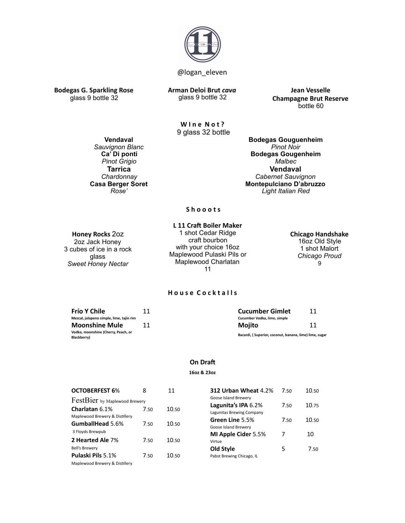

**Bodegas G. Sparkling Rose Arman Deloi Brut** *cava* glass 9 bottle 32

**Jean Vesselle Champagne Brut Reserve** bottle 60

**Wine Not?** 9 glass 32 bottle

**Vendaval** *Sauvignon Blanc*  **Ca' Di ponti** *Pinot Grigio* **Tarrica**  *Chardonnay*  **Casa Berger Soret** *Rose'* 

**Bodegas Gouguenheim** *Pinot Noir* **Bodegas Gougenheim** *Malbec* **Vendaval** *Cabernet Sauvignon*  **Montepulciano D'abruzzo**  *Light Italian Red*

### **Shooots**

# **Honey Rocks** 2oz

glass 9 bottle 32

2oz Jack Honey 3 cubes of ice in a rock glass *Sweet Honey Nectar*

**L 11 Craft Boiler Maker** 1 shot Cedar Ridge craft bourbon with your choice 16oz Maplewood Pulaski Pils or Maplewood Charlatan 11

### **Chicago Handshake** 16oz Old Style

1 shot Malort *Chicago Proud*  9

### **House Cocktalls**

| Frío Y Chile                             | <b>Cucumber Gimlet</b>                                 |    |
|------------------------------------------|--------------------------------------------------------|----|
| Mezcal, jalapeno simple, lime, tajin rim | Cucumber Vodka, lime, simple                           |    |
| <b>Moonshine Mule</b>                    | Moiito                                                 | 11 |
| Vodka, moonshine (Cherry, Peach, or      | Bacardi, (Superior, coconut, banana, lime) lime, sugar |    |
| Blackberry)                              |                                                        |    |

### **On Draft**

### **16oz & 23oz**

| <b>OCTOBERFEST 6%</b>                              | 8    | 11    | 312 Urban Wheat 4.2%                             | 7.50 | 10.50 |
|----------------------------------------------------|------|-------|--------------------------------------------------|------|-------|
| FestBier by Maplewood Brewery                      |      |       | Goose Island Brewery                             |      |       |
| Charlatan 6.1%                                     | 7.50 | 10.50 | Lagunita's IPA 6.2%<br>Lagunitas Brewing Company | 7.50 | 10.75 |
| Maplewood Brewery & Distillery<br>GumballHead 5.6% | 7.50 | 10.50 | Green Line 5.5%<br>Goose Island Brewery          | 7.50 | 10.50 |
| 3 Floyds Brewpub<br>2 Hearted Ale 7%               | 7.50 | 10.50 | MI Apple Cider 5.5%<br>Virtue                    |      | 10    |
| <b>Bell's Brewery</b><br>Pulaski Pils 5.1%         | 7.50 | 10.50 | Old Style<br>Pabst Brewing Chicago, IL           | 5    | 7.50  |
| Maplewood Brewery & Distillery                     |      |       |                                                  |      |       |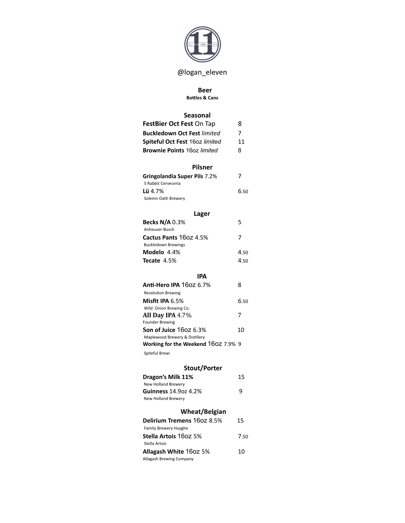

# @logan\_eleven

### **Beer**

### **Bottles & Cans**

# **Seasonal**

| FestBier Oct Fest On Tap           | 8  |
|------------------------------------|----|
| <b>Buckledown Oct Fest limited</b> | 7  |
| Spiteful Oct Fest 160z limited     | 11 |
| <b>Brownie Points 160z limited</b> | 8  |

### **Pilsner**

| Gringolandia Super Pils 7.2% |      |
|------------------------------|------|
| 5 Rabbit Cerveceria          |      |
| <b>Lü</b> 4.7%               | 6.50 |
| Solemn Oath Brewery          |      |

# **Lager**

| <b>Becks N/A 0.3%</b>      | 5    |
|----------------------------|------|
| Anheuser-Busch             |      |
| Cactus Pants 1602 4.5%     | 7    |
| <b>Buckledown Brewings</b> |      |
| Modelo 4.4%                | 4.50 |
| <b>Tecate</b> 4.5%         | 4.50 |

| IPA                                                                   |      |
|-----------------------------------------------------------------------|------|
| <b>Anti-Hero IPA 160z 6.7%</b>                                        | 8    |
| <b>Revolution Brewing</b>                                             |      |
| Misfit IPA 6.5%                                                       | ნ.50 |
| Wild Onion Brewing Co.                                                |      |
| All Day IPA 4.7%                                                      | 7    |
| <b>Founder Brewing</b>                                                |      |
| ${\bf Son}$ of Juice $16$ oz $6.3\%$                                  | 10   |
| Maplewood Brewery & Distillery<br>Working for the Weekend 160Z 7.9% 9 |      |

Spiteful Brewi

# **Stout/Porter**

| Dragon's Milk 11%            | 15   |
|------------------------------|------|
| New Holland Brewery          |      |
| Guinness 14,907 4,2%         | q    |
| New Holland Brewery          |      |
| <b>Wheat/Belgian</b>         |      |
| Delirium Tremens 160Z 8.5%   | 15   |
| <b>Family Brewery Huyghe</b> |      |
| Stella Artois 1607 5%        | 7 รถ |
| Stella Artois                |      |

**Allagash White 160Z 5%** 10

Allagash Brewing Company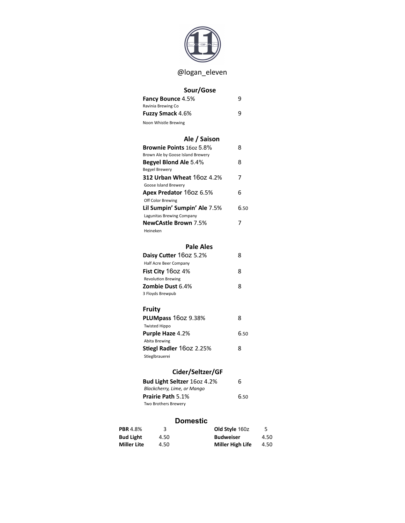

# @logan\_eleven

# **Sour/Gose**

| <b>Fancy Bounce 4.5%</b> | q |
|--------------------------|---|
| Ravinia Brewing Co       |   |
| <b>Fuzzy Smack 4.6%</b>  | q |
| Noon Whistle Brewing     |   |

# **Ale** / Saison

| <b>Brownie Points 160z 5.8%</b>   | 8    |
|-----------------------------------|------|
| Brown Ale by Goose Island Brewery |      |
| <b>Begyel Blond Ale 5.4%</b>      | 8    |
| <b>Begyel Brewery</b>             |      |
| <b>312 Urban Wheat</b> 160Z 4.2%  | 7    |
| Goose Island Brewery              |      |
| Apex Predator 160z 6.5%           | 6    |
| Off Color Brewing                 |      |
| Lil Sumpin' Sumpin' Ale 7.5%      | ნ.50 |
| Lagunitas Brewing Company         |      |
| <b>NewCAstle Brown</b> 7.5%       |      |
| Heineken                          |      |

### **Pale Ales**

| Daisy Cutter 160Z 5.2%    | 8 |  |
|---------------------------|---|--|
| Half Acre Beer Company    |   |  |
| <b>Fist City 160Z 4%</b>  | 8 |  |
| <b>Revolution Brewing</b> |   |  |
| <b>Zombie Dust 6.4%</b>   | 8 |  |
| 3 Floyds Brewpub          |   |  |

# **Fruity**

| PLUMpass 160Z 9.38%             | 8    |
|---------------------------------|------|
| <b>Twisted Hippo</b>            |      |
| <b>Purple Haze 4.2%</b>         | 6.50 |
| Abita Brewing                   |      |
| <b>Stiegl Radler 160z 2.25%</b> | 8    |
| Stieglbrauerei                  |      |

# Cider/Seltzer/GF

| Bud Light Seltzer 160z 4.2% | 6    |
|-----------------------------|------|
| Blackcherry, Lime, or Mango |      |
| <b>Prairie Path 5.1%</b>    | 6.50 |
| Two Brothers Brewery        |      |

# Domestic

| <b>PBR</b> 4.8%    | ર    | Old Style 160z   | 5.   |
|--------------------|------|------------------|------|
| <b>Bud Light</b>   | 4.50 | <b>Budweiser</b> | 4.50 |
| <b>Miller Lite</b> | 4.50 | Miller High Life | 4.50 |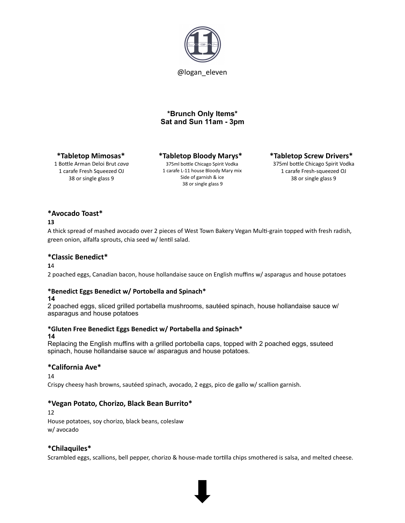

# **\*Brunch Only Items\* Sat and Sun 11am - 3pm**

### **\*Tabletop Mimosas\***

1 Bottle Arman Deloi Brut cava 1 carafe Fresh Squeezed OJ 38 or single glass 9

**\*Tabletop Bloody Marys\***  375ml bottle Chicago Spirit Vodka 1 carafe L-11 house Bloody Mary mix Side of garnish & ice 38 or single glass 9

### **\*Tabletop Screw Drivers\***

375ml bottle Chicago Spirit Vodka 1 carafe Fresh-squeezed OJ 38 or single glass 9

# **\*Avocado Toast\***

### **13**

A thick spread of mashed avocado over 2 pieces of West Town Bakery Vegan Multi-grain topped with fresh radish, green onion, alfalfa sprouts, chia seed w/ lentil salad.

### **\*Classic Benedict\***

**1**4 

2 poached eggs, Canadian bacon, house hollandaise sauce on English muffins w/ asparagus and house potatoes

### **\*Benedict Eggs Benedict w/ Portobella and Spinach\***

### **14**

2 poached eggs, sliced grilled portabella mushrooms, sautéed spinach, house hollandaise sauce w/ asparagus and house potatoes

# \*Gluten Free Benedict Eggs Benedict w/ Portabella and Spinach\*

### **14**

Replacing the English muffins with a grilled portobella caps, topped with 2 poached eggs, ssuteed spinach, house hollandaise sauce w/ asparagus and house potatoes.

### **\*California Ave\***

14 

Crispy cheesy hash browns, sautéed spinach, avocado, 2 eggs, pico de gallo w/ scallion garnish.

# **\*Vegan Potato, Chorizo, Black Bean Burrito\***

12 House potatoes, soy chorizo, black beans, coleslaw w/ avocado 

### **\*Chilaquiles\***

Scrambled eggs, scallions, bell pepper, chorizo & house-made tortilla chips smothered is salsa, and melted cheese.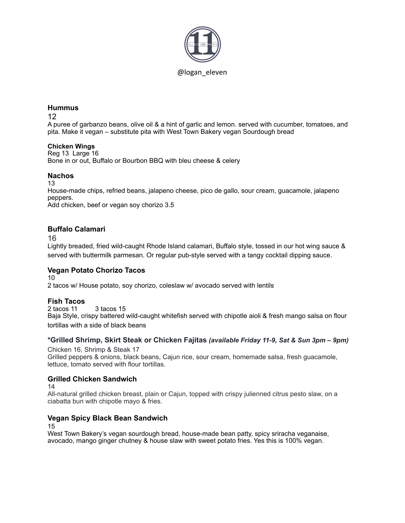

### **Hummus**

12

A puree of garbanzo beans, olive oil & a hint of garlic and lemon. served with cucumber, tomatoes, and pita. Make it vegan – substitute pita with West Town Bakery vegan Sourdough bread

### **Chicken Wings**

Reg 13 Large 16 Bone in or out, Buffalo or Bourbon BBQ with bleu cheese & celery

### **Nachos**

13

House-made chips, refried beans, jalapeno cheese, pico de gallo, sour cream, guacamole, jalapeno peppers.

Add chicken, beef or vegan soy chorizo 3.5

# **Buffalo Calamari**

16

Lightly breaded, fried wild-caught Rhode Island calamari, Buffalo style, tossed in our hot wing sauce & served with buttermilk parmesan. Or regular pub-style served with a tangy cocktail dipping sauce.

# **Vegan Potato Chorizo Tacos**

10

2 tacos w/ House potato, soy chorizo, coleslaw w/ avocado served with lentils

# **Fish Tacos**

2 tacos 11 3 tacos 15 Baja Style, crispy battered wild-caught whitefish served with chipotle aioli & fresh mango salsa on flour tortillas with a side of black beans

# **\*Grilled Shrimp, Skirt Steak or Chicken Fajitas** *(available Friday 11-9, Sat & Sun 3pm – 9pm)*

Chicken 16, Shrimp & Steak 17 Grilled peppers & onions, black beans, Cajun rice, sour cream, homemade salsa, fresh guacamole, lettuce, tomato served with flour tortillas.

# **Grilled Chicken Sandwich**

14

All-natural grilled chicken breast, plain or Cajun, topped with crispy julienned citrus pesto slaw, on a ciabatta bun with chipotle mayo & fries.

# **Vegan Spicy Black Bean Sandwich**

15

West Town Bakery's vegan sourdough bread, house-made bean patty, spicy sriracha veganaise, avocado, mango ginger chutney & house slaw with sweet potato fries. Yes this is 100% vegan.